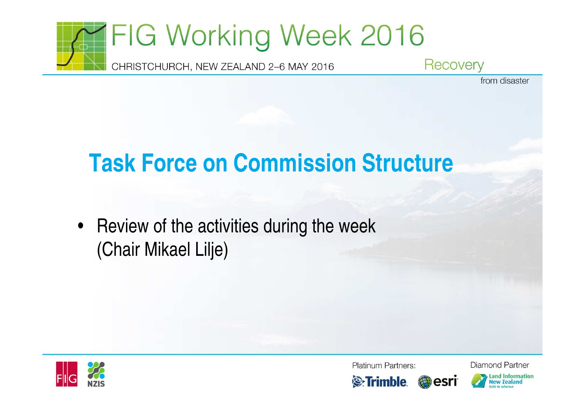

# **Task Force on Commission Structure**

 $\bullet$  Review of the activities during the week(Chair Mikael Lilje)



**Platinum Partners:** 



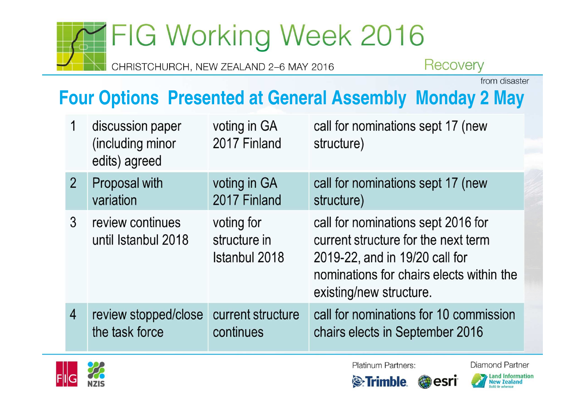# FIG Working Week 2016

CHRISTCHURCH, NEW ZEALAND 2-6 MAY 2016

Recovery

from disaster

## **Four Options Presented at General Assembly Monday 2 May**

|                | discussion paper<br>(including minor<br>edits) agreed | voting in GA<br>2017 Finland                | call for nominations sept 17 (new<br>structure)                                                                                                                                    |
|----------------|-------------------------------------------------------|---------------------------------------------|------------------------------------------------------------------------------------------------------------------------------------------------------------------------------------|
| $\overline{2}$ | Proposal with                                         | voting in GA                                | call for nominations sept 17 (new                                                                                                                                                  |
|                | variation                                             | 2017 Finland                                | structure)                                                                                                                                                                         |
| 3              | review continues<br>until Istanbul 2018               | voting for<br>structure in<br>Istanbul 2018 | call for nominations sept 2016 for<br>current structure for the next term<br>2019-22, and in 19/20 call for<br>nominations for chairs elects within the<br>existing/new structure. |
| $\overline{4}$ | review stopped/close                                  | current structure                           | call for nominations for 10 commission                                                                                                                                             |
|                | the task force                                        | continues                                   | chairs elects in September 2016                                                                                                                                                    |



Platinum Partners:

**Diamond Partner** 

**Land Information** 

**New Zealand** 

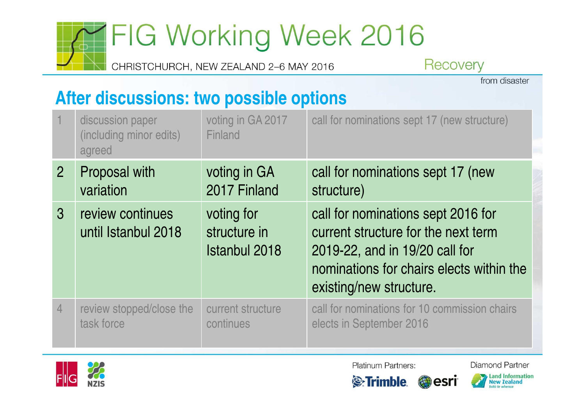# FIG Working Week 2016

CHRISTCHURCH, NEW ZEALAND 2-6 MAY 2016

Recovery

from disaster

#### After discussions: two possible options

|                | discussion paper<br>(including minor edits)<br>agreed | voting in GA 2017<br>Finland                       | call for nominations sept 17 (new structure)                                                                                                                                       |
|----------------|-------------------------------------------------------|----------------------------------------------------|------------------------------------------------------------------------------------------------------------------------------------------------------------------------------------|
| $\overline{2}$ | <b>Proposal with</b>                                  | voting in GA                                       | call for nominations sept 17 (new                                                                                                                                                  |
|                | variation                                             | 2017 Finland                                       | structure)                                                                                                                                                                         |
| $\mathbf{3}$   | review continues<br>until Istanbul 2018               | voting for<br>structure in<br><b>Istanbul 2018</b> | call for nominations sept 2016 for<br>current structure for the next term<br>2019-22, and in 19/20 call for<br>nominations for chairs elects within the<br>existing/new structure. |
| $\overline{4}$ | review stopped/close the                              | current structure                                  | call for nominations for 10 commission chairs                                                                                                                                      |
|                | task force                                            | continues                                          | elects in September 2016                                                                                                                                                           |



**Platinum Partners:** 

**Diamond Partner** 

Land Information<br>New Zealand

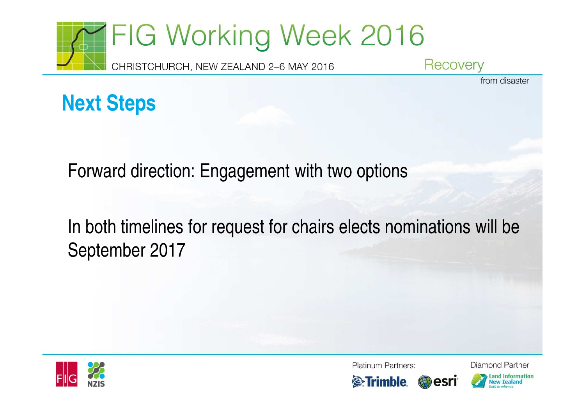

from disaster



Forward direction: Engagement with two options

In both timelines for request for chairs elects nominations will be September 2017



**Platinum Partners:** 





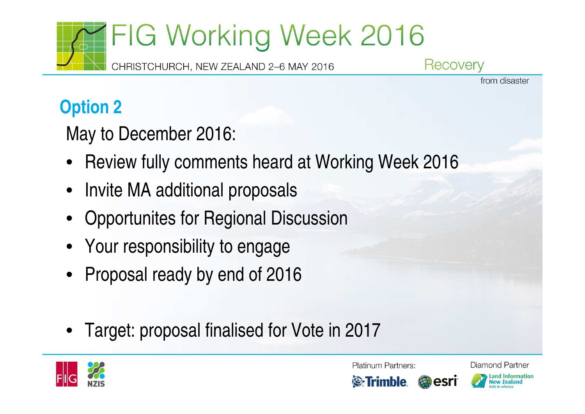

from disaster

## **Option 2**

May to December 2016:

- •Review fully comments heard at Working Week 2016
- Invite MA additional proposals
- Opportunites for Regional Discussion
- Your responsibility to engage
- Proposal ready by end of 2016
- •Target: proposal finalised for Vote in 2017



Platinum Partners:



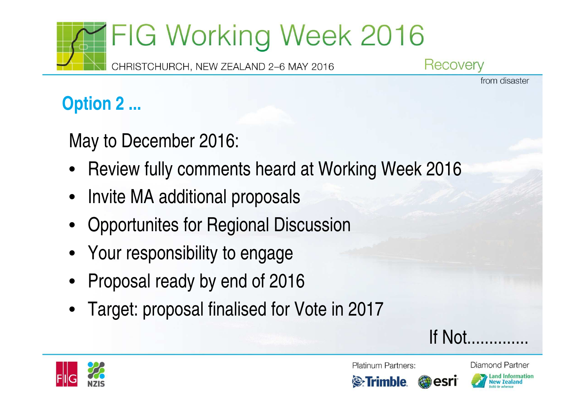

Recovery

from disaster

## **Option 2 ...**

May to December 2016:

- Review fully comments heard at Working Week 2016
- Invite MA additional proposals
- Opportunites for Regional Discussion
- Your responsibility to engage
- Proposal ready by end of 2016
- Target: proposal finalised for Vote in 2017

If Not.



**Platinum Partners:** 



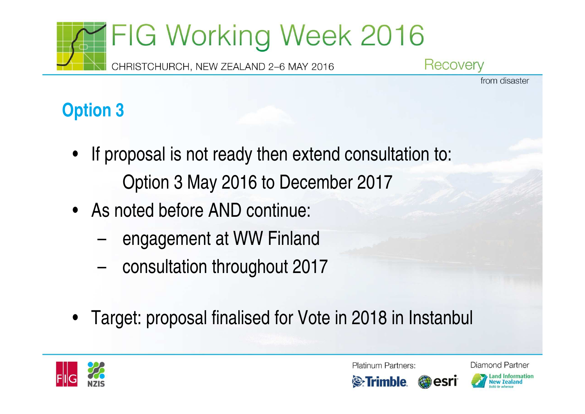

from disaster

# **Option 3**

- If proposal is not ready then extend consultation to: Option 3 May 2016 to December 2017
- As noted before AND continue:
	- –engagement at WW Finland
	- –consultation throughout 2017
- Target: proposal finalised for Vote in 2018 in Instanbul



Platinum Partners:



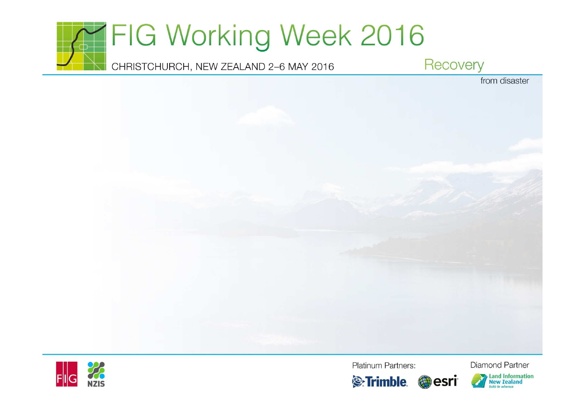





**Platinum Partners:**